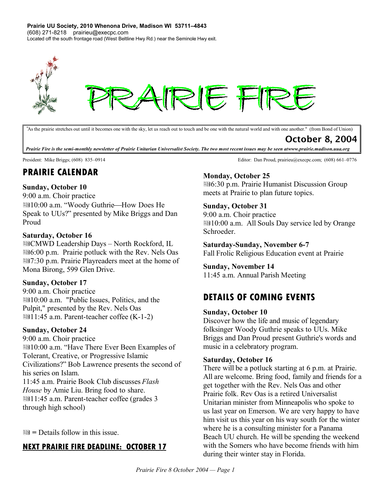**Prairie UU Society, 2010 Whenona Drive, Madison WI 53711–4843** (608) 271-8218 prairieu@execpc.com Located off the south frontage road (West Beltline Hwy Rd.) near the Seminole Hwy exit.



*"*As the prairie stretches out until it becomes one with the sky, let us reach out to touch and be one with the natural world and with one another." (from Bond of Union)

October 8, 2004

Prairie Fire is the semi-monthly newsletter of Prairie Unitarian Universalist Society. The two most recent issues may be seen atwww.prairie.madison.uua.org

# **PRAIRIE CALENDAR**

### **Sunday, October 10**

9:00 a.m. Choir practice **■10:00 a.m. "Woody Guthrie—How Does He** Speak to UUs?" presented by Mike Briggs and Dan Proud

#### **Saturday, October 16**

图CMWD Leadership Days - North Rockford, IL 6:00 p.m. Prairie potluck with the Rev. Nels Oas 1.30 p.m. Prairie Playreaders meet at the home of Mona Birong, 599 Glen Drive.

### **Sunday, October 17**

9:00 a.m. Choir practice 10:00 a.m. "Public Issues, Politics, and the Pulpit," presented by the Rev. Nels Oas ■11:45 a.m. Parent-teacher coffee (K-1-2)

#### **Sunday, October 24**

9:00 a.m. Choir practice 10:00 a.m. "Have There Ever Been Examples of Tolerant, Creative, or Progressive Islamic Civilizations?" Bob Lawrence presents the second of his series on Islam. 11:45 a.m. Prairie Book Club discusses *Flash House* by Amie Liu. Bring food to share. 11:45 a.m. Parent-teacher coffee (grades 3 through high school)

**=** Details follow in this issue.

## **NEXT PRAIRIE FIRE DEADLINE: OCTOBER 17**

President: Mike Briggs; (608) 835–0914 Editor: Dan Proud, prairieu@execpc.com; (608) 661–0776

### **Monday, October 25**

6:30 p.m. Prairie Humanist Discussion Group meets at Prairie to plan future topics.

### **Sunday, October 31**

9:00 a.m. Choir practice 10:00 a.m. All Souls Day service led by Orange Schroeder.

**Saturday-Sunday, November 6-7** Fall Frolic Religious Education event at Prairie

### **Sunday, November 14**

11:45 a.m. Annual Parish Meeting

# **DETAILS OF COMING EVENTS**

#### **Sunday, October 10**

Discover how the life and music of legendary folksinger Woody Guthrie speaks to UUs. Mike Briggs and Dan Proud present Guthrie's words and music in a celebratory program.

#### **Saturday, October 16**

There will be a potluck starting at 6 p.m. at Prairie. All are welcome. Bring food, family and friends for a get together with the Rev. Nels Oas and other Prairie folk. Rev Oas is a retired Universalist Unitarian minister from Minneapolis who spoke to us last year on Emerson. We are very happy to have him visit us this year on his way south for the winter where he is a consulting minister for a Panama Beach UU church. He will be spending the weekend with the Somers who have become friends with him during their winter stay in Florida.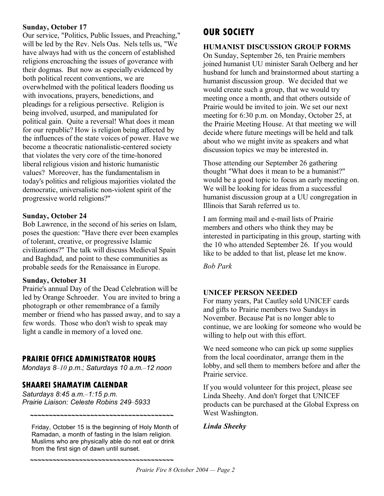### **Sunday, October 17**

Our service, "Politics, Public Issues, and Preaching," will be led by the Rev. Nels Oas. Nels tells us, "We have always had with us the concern of established religions encroaching the issues of goverance with their dogmas. But now as especially evidenced by both political recent conventions, we are overwhelmed with the political leaders flooding us with invocations, prayers, benedictions, and pleadings for a religious persective. Religion is being involved, usurped, and manipulated for political gain. Quite a reversal! What does it mean for our republic? How is religion being affected by the influences of the state voices of power. Have we become a theocratic nationalistic-centered society that violates the very core of the time-honored liberal religious vision and historic humanistic values? Moreover, has the fundamentalism in today's politics and religious majorities violated the democratic, universalistic non-violent spirit of the progressive world religions?"

### **Sunday, October 24**

Bob Lawrence, in the second of his series on Islam, poses the question: "Have there ever been examples of tolerant, creative, or progressive Islamic civilizations?" The talk will discuss Medieval Spain and Baghdad, and point to these communities as probable seeds for the Renaissance in Europe.

#### **Sunday, October 31**

Prairie's annual Day of the Dead Celebration will be led by Orange Schroeder. You are invited to bring a photograph or other remembrance of a family member or friend who has passed away, and to say a few words. Those who don't wish to speak may light a candle in memory of a loved one.

## **PRAIRIE OFFICE ADMINISTRATOR HOURS**

*Mondays 8–10 p.m.; Saturdays 10 a.m.–12 noon*

## **SHAAREI SHAMAYIM CALENDAR**

*Saturdays 8:45 a.m.–1:15 p.m. Prairie Liaison: Celeste Robins 249–5933*

Friday, October 15 is the beginning of Holy Month of Ramadan, a month of fasting in the Islam religion. Muslims who are physically able do not eat or drink from the first sign of dawn until sunset.

**~~~~~~~~~~~~~~~~~~~~~~~~~~~~~~~~~~~~~~**

**~~~~~~~~~~~~~~~~~~~~~~~~~~~~~~~~~~~~~~**

# **OUR SOCIETY**

### **HUMANIST DISCUSSION GROUP FORMS**

On Sunday, September 26, ten Prairie members joined humanist UU minister Sarah Oelberg and her husband for lunch and brainstormed about starting a humanist discussion group. We decided that we would create such a group, that we would try meeting once a month, and that others outside of Prairie would be invited to join. We set our next meeting for 6:30 p.m. on Monday, October 25, at the Prairie Meeting House. At that meeting we will decide where future meetings will be held and talk about who we might invite as speakers and what discussion topics we may be interested in.

Those attending our September 26 gathering thought "What does it mean to be a humanist?" would be a good topic to focus an early meeting on. We will be looking for ideas from a successful humanist discussion group at a UU congregation in Illinois that Sarah referred us to.

I am forming mail and e-mail lists of Prairie members and others who think they may be interested in participating in this group, starting with the 10 who attended September 26. If you would like to be added to that list, please let me know.

*Bob Park*

### **UNICEF PERSON NEEDED**

For many years, Pat Cautley sold UNICEF cards and gifts to Prairie members two Sundays in November. Because Pat is no longer able to continue, we are looking for someone who would be willing to help out with this effort.

We need someone who can pick up some supplies from the local coordinator, arrange them in the lobby, and sell them to members before and after the Prairie service.

If you would volunteer for this project, please see Linda Sheehy. And don't forget that UNICEF products can be purchased at the Global Express on West Washington.

### *Linda Sheehy*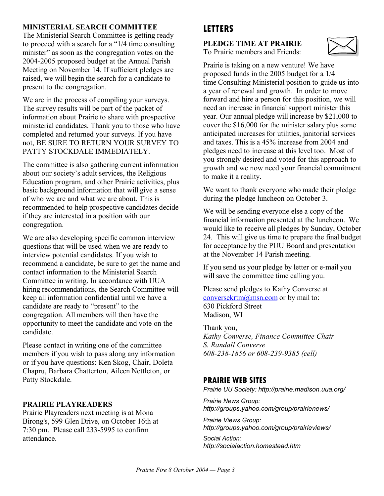### **MINISTERIAL SEARCH COMMITTEE**

The Ministerial Search Committee is getting ready to proceed with a search for a "1/4 time consulting minister" as soon as the congregation votes on the 2004-2005 proposed budget at the Annual Parish Meeting on November 14. If sufficient pledges are raised, we will begin the search for a candidate to present to the congregation.

We are in the process of compiling your surveys. The survey results will be part of the packet of information about Prairie to share with prospective ministerial candidates. Thank you to those who have completed and returned your surveys. If you have not, BE SURE TO RETURN YOUR SURVEY TO PATTY STOCKDALE IMMEDIATELY.

The committee is also gathering current information about our society's adult services, the Religious Education program, and other Prairie activities, plus basic background information that will give a sense of who we are and what we are about. This is recommended to help prospective candidates decide if they are interested in a position with our congregation.

We are also developing specific common interview questions that will be used when we are ready to interview potential candidates. If you wish to recommend a candidate, be sure to get the name and contact information to the Ministerial Search Committee in writing. In accordance with UUA hiring recommendations, the Search Committee will keep all information confidential until we have a candidate are ready to "present" to the congregation. All members will then have the opportunity to meet the candidate and vote on the candidate.

Please contact in writing one of the committee members if you wish to pass along any information or if you have questions: Ken Skog, Chair, Doleta Chapru, Barbara Chatterton, Aileen Nettleton, or Patty Stockdale.

### **PRAIRIE PLAYREADERS**

Prairie Playreaders next meeting is at Mona Birong's, 599 Glen Drive, on October 16th at 7:30 pm. Please call 233-5995 to confirm attendance.

# **LETTERS**

**PLEDGE TIME AT PRAIRIE** To Prairie members and Friends:



Prairie is taking on a new venture! We have proposed funds in the 2005 budget for a 1/4 time Consulting Ministerial position to guide us into a year of renewal and growth. In order to move forward and hire a person for this position, we will need an increase in financial support minister this year. Our annual pledge will increase by \$21,000 to cover the \$16,000 for the minister salary plus some anticipated increases for utilities, janitorial services and taxes. This is a 45% increase from 2004 and pledges need to increase at this level too. Most of you strongly desired and voted for this approach to growth and we now need your financial commitment to make it a reality.

We want to thank everyone who made their pledge during the pledge luncheon on October 3.

We will be sending everyone else a copy of the financial information presented at the luncheon. We would like to receive all pledges by Sunday, October 24. This will give us time to prepare the final budget for acceptance by the PUU Board and presentation at the November 14 Parish meeting.

If you send us your pledge by letter or e-mail you will save the committee time calling you.

Please send pledges to Kathy Converse at conversekrtm@msn.com or by mail to: 630 Pickford Street Madison, WI

Thank you, *Kathy Converse, Finance Committee Chair S. Randall Converse 608-238-1856 or 608-239-9385 (cell)*

### **PRAIRIE WEB SITES**

*Prairie UU Society: http://prairie.madison.uua.org/*

*Prairie News Group: http://groups.yahoo.com/group/prairienews/*

*Prairie Views Group: http://groups.yahoo.com/group/prairieviews/*

*Social Action: http://socialaction.homestead.htm*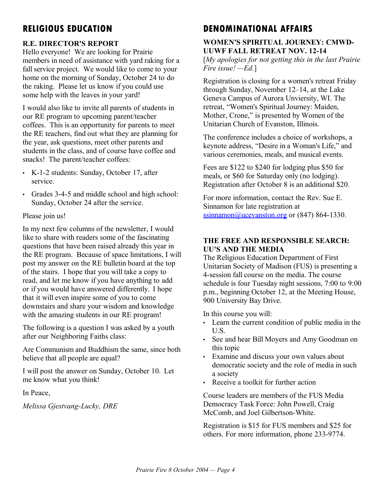# **RELIGIOUS EDUCATION**

## **R.E. DIRECTOR'S REPORT**

Hello everyone! We are looking for Prairie members in need of assistance with yard raking for a fall service project. We would like to come to your home on the morning of Sunday, October 24 to do the raking. Please let us know if you could use some help with the leaves in your yard!

I would also like to invite all parents of students in our RE program to upcoming parent/teacher coffees. This is an opportunity for parents to meet the RE teachers, find out what they are planning for the year, ask questions, meet other parents and students in the class, and of course have coffee and snacks! The parent/teacher coffees:

- K-1-2 students: Sunday, October 17, after service.
- Grades 3-4-5 and middle school and high school: Sunday, October 24 after the service.

### Please join us!

In my next few columns of the newsletter, I would like to share with readers some of the fascinating questions that have been raised already this year in the RE program. Because of space limitations, I will post my answer on the RE bulletin board at the top of the stairs. I hope that you will take a copy to read, and let me know if you have anything to add or if you would have answered differently. I hope that it will even inspire some of you to come downstairs and share your wisdom and knowledge with the amazing students in our RE program!

The following is a question I was asked by a youth after our Neighboring Faiths class:

Are Communism and Buddhism the same, since both believe that all people are equal?

I will post the answer on Sunday, October 10. Let me know what you think!

In Peace,

*Melissa Gjestvang-Lucky, DRE*

# **DENOMINATIONAL AFFAIRS**

### **WOMEN'S SPIRITUAL JOURNEY: CMWD-UUWF FALL RETREAT NOV. 12-14**

[*My apologies for not getting this in the last Prairie Fire issue! —Ed.*]

Registration is closing for a women's retreat Friday through Sunday, November 12–14, at the Lake Geneva Campus of Aurora Unviersity, WI. The retreat, "Women's Spiritual Journey: Maiden, Mother, Crone," is presented by Women of the Unitarian Church of Evanston, Illinois.

The conference includes a choice of workshops, a keynote address, "Desire in a Woman's Life," and various ceremonies, meals, and musical events.

Fees are \$122 to \$240 for lodging plus \$50 for meals, or \$60 for Saturday only (no lodging). Registration after October 8 is an additional \$20.

For more information, contact the Rev. Sue E. Sinnamon for late registration at ssinnamon@ucevanston.org or  $(847)$  864-1330.

### **THE FREE AND RESPONSIBLE SEARCH: UU'S AND THE MEDIA**

The Religious Education Department of First Unitarian Society of Madison (FUS) is presenting a 4-session fall course on the media. The course schedule is four Tuesday night sessions, 7:00 to 9:00 p.m., beginning October 12, at the Meeting House, 900 University Bay Drive.

In this course you will:

- Learn the current condition of public media in the U.S.
- See and hear Bill Moyers and Amy Goodman on this topic
- Examine and discuss your own values about democratic society and the role of media in such a society
- Receive a toolkit for further action

Course leaders are members of the FUS Media Democracy Task Force: John Powell, Craig McComb, and Joel Gilbertson-White.

Registration is \$15 for FUS members and \$25 for others. For more information, phone 233-9774.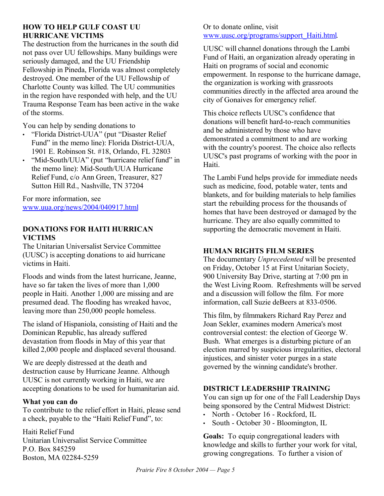### **HOW TO HELP GULF COAST UU HURRICANE VICTIMS**

The destruction from the hurricanes in the south did not pass over UU fellowships. Many buildings were seriously damaged, and the UU Friendship Fellowship in Pineda, Florida was almost completely destroyed. One member of the UU Fellowship of Charlotte County was killed. The UU communities in the region have responded with help, and the UU Trauma Response Team has been active in the wake of the storms.

You can help by sending donations to

- "Florida District-UUA" (put "Disaster Relief Fund" in the memo line): Florida District-UUA, 1901 E. Robinson St. #18, Orlando, FL 32803
- "Mid-South/UUA" (put "hurricane relief fund" in the memo line): Mid-South/UUA Hurricane Relief Fund, c/o Ann Green, Treasurer, 827 Sutton Hill Rd., Nashville, TN 37204

For more information, see www.uua.org/news/2004/040917.html

### **DONATIONS FOR HAITI HURRICAN VICTIMS**

The Unitarian Universalist Service Committee (UUSC) is accepting donations to aid hurricane victims in Haiti.

Floods and winds from the latest hurricane, Jeanne, have so far taken the lives of more than 1,000 people in Haiti. Another 1,000 are missing and are presumed dead. The flooding has wreaked havoc, leaving more than 250,000 people homeless.

The island of Hispaniola, consisting of Haiti and the Dominican Republic, has already suffered devastation from floods in May of this year that killed 2,000 people and displaced several thousand.

We are deeply distressed at the death and destruction cause by Hurricane Jeanne. Although UUSC is not currently working in Haiti, we are accepting donations to be used for humanitarian aid.

### **What you can do**

To contribute to the relief effort in Haiti, please send a check, payable to the "Haiti Relief Fund", to:

Haiti Relief Fund Unitarian Universalist Service Committee P.O. Box 845259 Boston, MA 02284-5259

### Or to donate online, visit www.uusc.org/programs/support\_Haiti.html.

UUSC will channel donations through the Lambi Fund of Haiti, an organization already operating in Haiti on programs of social and economic empowerment. In response to the hurricane damage, the organization is working with grassroots communities directly in the affected area around the city of Gonaives for emergency relief.

This choice reflects UUSC's confidence that donations will benefit hard-to-reach communities and be administered by those who have demonstrated a commitment to and are working with the country's poorest. The choice also reflects UUSC's past programs of working with the poor in Haiti.

The Lambi Fund helps provide for immediate needs such as medicine, food, potable water, tents and blankets, and for building materials to help families start the rebuilding process for the thousands of homes that have been destroyed or damaged by the hurricane. They are also equally committed to supporting the democratic movement in Haiti.

### **HUMAN RIGHTS FILM SERIES**

The documentary *Unprecedented* will be presented on Friday, October 15 at First Unitarian Society, 900 University Bay Drive, starting at 7:00 pm in the West Living Room. Refreshments will be served and a discussion will follow the film. For more information, call Suzie deBeers at 833-0506.

This film, by filmmakers Richard Ray Perez and Joan Sekler, examines modern America's most controversial contest: the election of George W. Bush. What emerges is a disturbing picture of an election marred by suspicious irregularities, electoral injustices, and sinister voter purges in a state governed by the winning candidate's brother.

## **DISTRICT LEADERSHIP TRAINING**

You can sign up for one of the Fall Leadership Days being sponsored by the Central Midwest District:

- North October 16 Rockford, IL
- South October 30 Bloomington, IL

**Goals:** To equip congregational leaders with knowledge and skills to further your work for vital, growing congregations. To further a vision of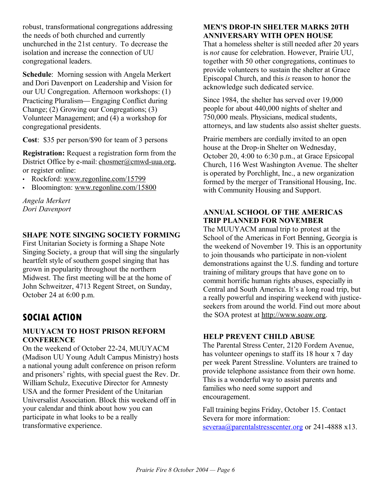robust, transformational congregations addressing the needs of both churched and currently unchurched in the 21st century. To decrease the isolation and increase the connection of UU congregational leaders.

**Schedule**: Morning session with Angela Merkert and Dori Davenport on Leadership and Vision for our UU Congregation. Afternoon workshops: (1) Practicing Pluralism — Engaging Conflict during Change; (2) Growing our Congregations; (3) Volunteer Management; and (4) a workshop for congregational presidents.

**Cost**: \$35 per person/\$90 for team of 3 persons

**Registration:** Request a registration form from the District Office by e-mail: chosmer@cmwd-uua.org, or register online:

- Rockford: www.regonline.com/15799
- Bloomington: www.regonline.com/15800

*Angela Merkert Dori Davenport*

## **SHAPE NOTE SINGING SOCIETY FORMING**

First Unitarian Society is forming a Shape Note Singing Society, a group that will sing the singularly heartfelt style of southern gospel singing that has grown in popularity throughout the northern Midwest. The first meeting will be at the home of John Schweitzer, 4713 Regent Street, on Sunday, October 24 at 6:00 p.m.

# **SOCIAL ACTION**

### **MUUYACM TO HOST PRISON REFORM CONFERENCE**

On the weekend of October 22-24, MUUYACM (Madison UU Young Adult Campus Ministry) hosts a national young adult conference on prison reform and prisoners' rights, with special guest the Rev. Dr. William Schulz, Executive Director for Amnesty USA and the former President of the Unitarian Universalist Association. Block this weekend off in your calendar and think about how you can participate in what looks to be a really transformative experience.

### **MEN'S DROP-IN SHELTER MARKS 20TH ANNIVERSARY WITH OPEN HOUSE**

That a homeless shelter is still needed after 20 years is *not* cause for celebration. However, Prairie UU, together with 50 other congregations, continues to provide volunteers to sustain the shelter at Grace Episcopal Church, and this *is* reason to honor the acknowledge such dedicated service.

Since 1984, the shelter has served over 19,000 people for about 440,000 nights of shelter and 750,000 meals. Physicians, medical students, attorneys, and law students also assist shelter guests.

Prairie members are cordially invited to an open house at the Drop-in Shelter on Wednesday, October 20, 4:00 to 6:30 p.m., at Grace Epsicopal Church, 116 West Washington Avenue. The shelter is operated by Porchlight, Inc., a new organization formed by the merger of Transitional Housing, Inc. with Community Housing and Support.

### **ANNUAL SCHOOL OF THE AMERICAS TRIP PLANNED FOR NOVEMBER**

The MUUYACM annual trip to protest at the School of the Americas in Fort Benning, Georgia is the weekend of November 19. This is an opportunity to join thousands who participate in non-violent demonstrations against the U.S. funding and torture training of military groups that have gone on to commit horrific human rights abuses, especially in Central and South America. It's a long road trip, but a really powerful and inspiring weekend with justiceseekers from around the world. Find out more about the SOA protest at http://www.soaw.org.

### **HELP PREVENT CHILD ABUSE**

The Parental Stress Center, 2120 Fordem Avenue, has volunteer openings to staff its 18 hour x 7 day per week Parent Stressline. Volunters are trained to provide telephone assistance from their own home. This is a wonderful way to assist parents and families who need some support and encouragement.

Fall training begins Friday, October 15. Contact Severa for more information: severaa@parentalstresscenter.org or 241-4888 x13.